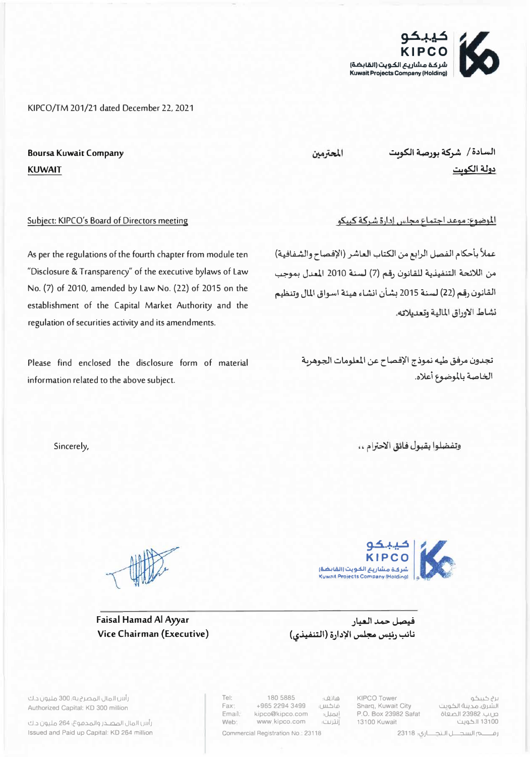شركة مشاريع الكويت (القابضة) **Kuwait Projects Company (Holding)** 

الموضوع: موعد اجتماع مجلس إدارة شركة كبيكو

عملاً بأحكام الفصل الرابع من الكتاب العاشر (الإفصاح والشفافية)

من اللائحة التنفيذية للقانون رقم (7) لسنة 2010 المعدل بموجب

القانون رقم (22) لسنة 2015 بشأن انشاء هيئة اسواق المال وتنظيم

تجدون مرفق طيه نموذج الإفصاح عن المعلومات الجوهربة

KIPCO/TM 201/21 dated December 22, 2021

المحترمين

السادة / شركة بورصة الكوبت دولة الكوت

نشاط الاوراق المالية وتعديلاته.

الخاصة بالموضوع أعلاه.

Subject: KIPCO's Board of Directors meeting

**Boursa Kuwait Company** 

**KUWAIT** 

As per the regulations of the fourth chapter from module ten "Disclosure & Transparency" of the executive bylaws of Law No. (7) of 2010, amended by Law No. (22) of 2015 on the establishment of the Capital Market Authority and the regulation of securities activity and its amendments.

Please find enclosed the disclosure form of material information related to the above subject.

وتفضلوا بقبول فائق الاحترام ..

Sincerely,

رأس المال المصـذر والمدموع، 264 مليون د.ك Issued and Paid up Capital: KD 264 million



Tel:

Fax1

Fmail:

Web:



فيصل حمد العيار نائب رئيس مجلس الإدارة (التنفيذي)

هاتف؛ +965 2294 3499 فاكس: kipco@kipco.com إيميل: www.kipco.com انترلت:

180 5885

Commercial Registration No.: 23118

KIPCO Tower Sharq, Kuwait City P.O. Box 23982 Safat 13100 Kuwait

برج کیبکو الشرق، مدينة الكويت ص.ب. 23982 الصفاة 13100 الكويت